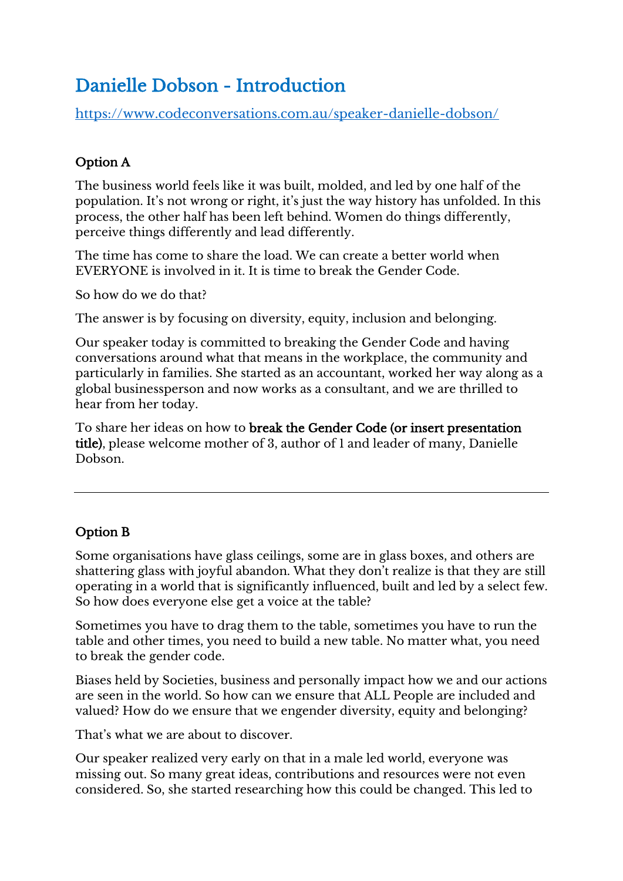## Danielle Dobson - Introduction

<https://www.codeconversations.com.au/speaker-danielle-dobson/>

## Option A

The business world feels like it was built, molded, and led by one half of the population. It's not wrong or right, it's just the way history has unfolded. In this process, the other half has been left behind. Women do things differently, perceive things differently and lead differently.

The time has come to share the load. We can create a better world when EVERYONE is involved in it. It is time to break the Gender Code.

So how do we do that?

The answer is by focusing on diversity, equity, inclusion and belonging.

Our speaker today is committed to breaking the Gender Code and having conversations around what that means in the workplace, the community and particularly in families. She started as an accountant, worked her way along as a global businessperson and now works as a consultant, and we are thrilled to hear from her today.

To share her ideas on how to break the Gender Code (or insert presentation title), please welcome mother of 3, author of 1 and leader of many, Danielle Dobson.

## Option B

Some organisations have glass ceilings, some are in glass boxes, and others are shattering glass with joyful abandon. What they don't realize is that they are still operating in a world that is significantly influenced, built and led by a select few. So how does everyone else get a voice at the table?

Sometimes you have to drag them to the table, sometimes you have to run the table and other times, you need to build a new table. No matter what, you need to break the gender code.

Biases held by Societies, business and personally impact how we and our actions are seen in the world. So how can we ensure that ALL People are included and valued? How do we ensure that we engender diversity, equity and belonging?

That's what we are about to discover.

Our speaker realized very early on that in a male led world, everyone was missing out. So many great ideas, contributions and resources were not even considered. So, she started researching how this could be changed. This led to